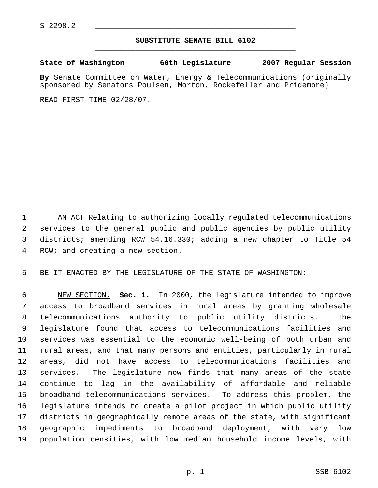## **SUBSTITUTE SENATE BILL 6102** \_\_\_\_\_\_\_\_\_\_\_\_\_\_\_\_\_\_\_\_\_\_\_\_\_\_\_\_\_\_\_\_\_\_\_\_\_\_\_\_\_\_\_\_\_

**State of Washington 60th Legislature 2007 Regular Session**

**By** Senate Committee on Water, Energy & Telecommunications (originally sponsored by Senators Poulsen, Morton, Rockefeller and Pridemore)

READ FIRST TIME 02/28/07.

 AN ACT Relating to authorizing locally regulated telecommunications services to the general public and public agencies by public utility districts; amending RCW 54.16.330; adding a new chapter to Title 54 RCW; and creating a new section.

BE IT ENACTED BY THE LEGISLATURE OF THE STATE OF WASHINGTON:

 NEW SECTION. **Sec. 1.** In 2000, the legislature intended to improve access to broadband services in rural areas by granting wholesale telecommunications authority to public utility districts. The legislature found that access to telecommunications facilities and services was essential to the economic well-being of both urban and rural areas, and that many persons and entities, particularly in rural areas, did not have access to telecommunications facilities and services. The legislature now finds that many areas of the state continue to lag in the availability of affordable and reliable broadband telecommunications services. To address this problem, the legislature intends to create a pilot project in which public utility districts in geographically remote areas of the state, with significant geographic impediments to broadband deployment, with very low population densities, with low median household income levels, with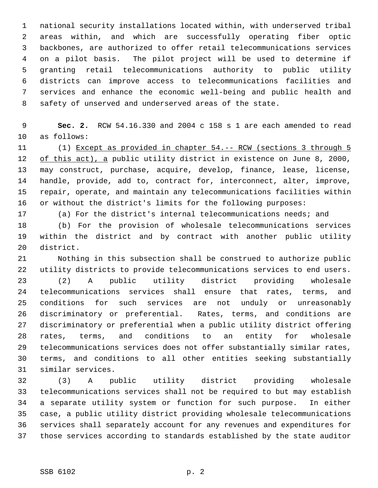national security installations located within, with underserved tribal areas within, and which are successfully operating fiber optic backbones, are authorized to offer retail telecommunications services on a pilot basis. The pilot project will be used to determine if granting retail telecommunications authority to public utility districts can improve access to telecommunications facilities and services and enhance the economic well-being and public health and safety of unserved and underserved areas of the state.

 **Sec. 2.** RCW 54.16.330 and 2004 c 158 s 1 are each amended to read as follows:

 (1) Except as provided in chapter 54.-- RCW (sections 3 through 5 12 of this act), a public utility district in existence on June 8, 2000, may construct, purchase, acquire, develop, finance, lease, license, handle, provide, add to, contract for, interconnect, alter, improve, repair, operate, and maintain any telecommunications facilities within or without the district's limits for the following purposes:

(a) For the district's internal telecommunications needs; and

 (b) For the provision of wholesale telecommunications services within the district and by contract with another public utility district.

 Nothing in this subsection shall be construed to authorize public utility districts to provide telecommunications services to end users. (2) A public utility district providing wholesale telecommunications services shall ensure that rates, terms, and conditions for such services are not unduly or unreasonably discriminatory or preferential. Rates, terms, and conditions are discriminatory or preferential when a public utility district offering rates, terms, and conditions to an entity for wholesale telecommunications services does not offer substantially similar rates, terms, and conditions to all other entities seeking substantially similar services.

 (3) A public utility district providing wholesale telecommunications services shall not be required to but may establish a separate utility system or function for such purpose. In either case, a public utility district providing wholesale telecommunications services shall separately account for any revenues and expenditures for those services according to standards established by the state auditor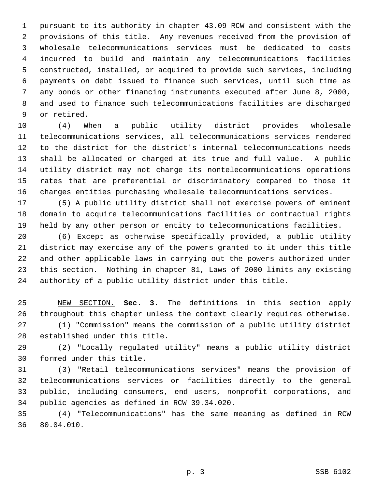pursuant to its authority in chapter 43.09 RCW and consistent with the provisions of this title. Any revenues received from the provision of wholesale telecommunications services must be dedicated to costs incurred to build and maintain any telecommunications facilities constructed, installed, or acquired to provide such services, including payments on debt issued to finance such services, until such time as any bonds or other financing instruments executed after June 8, 2000, and used to finance such telecommunications facilities are discharged or retired.

 (4) When a public utility district provides wholesale telecommunications services, all telecommunications services rendered to the district for the district's internal telecommunications needs shall be allocated or charged at its true and full value. A public utility district may not charge its nontelecommunications operations rates that are preferential or discriminatory compared to those it charges entities purchasing wholesale telecommunications services.

 (5) A public utility district shall not exercise powers of eminent domain to acquire telecommunications facilities or contractual rights held by any other person or entity to telecommunications facilities.

 (6) Except as otherwise specifically provided, a public utility district may exercise any of the powers granted to it under this title and other applicable laws in carrying out the powers authorized under this section. Nothing in chapter 81, Laws of 2000 limits any existing authority of a public utility district under this title.

 NEW SECTION. **Sec. 3.** The definitions in this section apply throughout this chapter unless the context clearly requires otherwise. (1) "Commission" means the commission of a public utility district established under this title.

 (2) "Locally regulated utility" means a public utility district formed under this title.

 (3) "Retail telecommunications services" means the provision of telecommunications services or facilities directly to the general public, including consumers, end users, nonprofit corporations, and public agencies as defined in RCW 39.34.020.

 (4) "Telecommunications" has the same meaning as defined in RCW 80.04.010.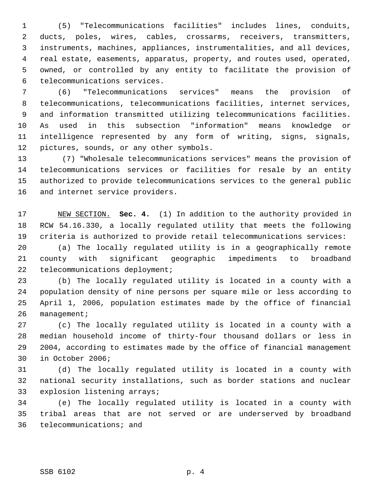(5) "Telecommunications facilities" includes lines, conduits, ducts, poles, wires, cables, crossarms, receivers, transmitters, instruments, machines, appliances, instrumentalities, and all devices, real estate, easements, apparatus, property, and routes used, operated, owned, or controlled by any entity to facilitate the provision of telecommunications services.

 (6) "Telecommunications services" means the provision of telecommunications, telecommunications facilities, internet services, and information transmitted utilizing telecommunications facilities. As used in this subsection "information" means knowledge or intelligence represented by any form of writing, signs, signals, pictures, sounds, or any other symbols.

13 (7) "Wholesale telecommunications services" means the provision of telecommunications services or facilities for resale by an entity authorized to provide telecommunications services to the general public and internet service providers.

 NEW SECTION. **Sec. 4.** (1) In addition to the authority provided in RCW 54.16.330, a locally regulated utility that meets the following criteria is authorized to provide retail telecommunications services:

 (a) The locally regulated utility is in a geographically remote county with significant geographic impediments to broadband telecommunications deployment;

 (b) The locally regulated utility is located in a county with a population density of nine persons per square mile or less according to April 1, 2006, population estimates made by the office of financial management;

 (c) The locally regulated utility is located in a county with a median household income of thirty-four thousand dollars or less in 2004, according to estimates made by the office of financial management in October 2006;

 (d) The locally regulated utility is located in a county with national security installations, such as border stations and nuclear explosion listening arrays;

 (e) The locally regulated utility is located in a county with tribal areas that are not served or are underserved by broadband telecommunications; and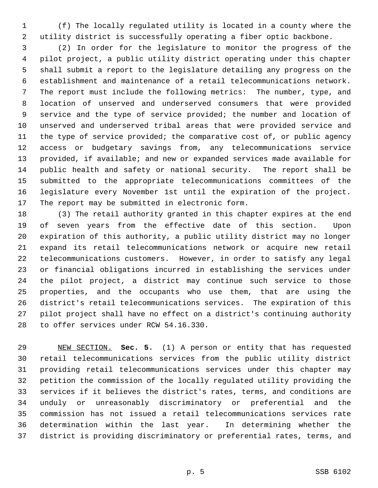(f) The locally regulated utility is located in a county where the utility district is successfully operating a fiber optic backbone.

 (2) In order for the legislature to monitor the progress of the pilot project, a public utility district operating under this chapter shall submit a report to the legislature detailing any progress on the establishment and maintenance of a retail telecommunications network. The report must include the following metrics: The number, type, and location of unserved and underserved consumers that were provided service and the type of service provided; the number and location of unserved and underserved tribal areas that were provided service and the type of service provided; the comparative cost of, or public agency access or budgetary savings from, any telecommunications service provided, if available; and new or expanded services made available for public health and safety or national security. The report shall be submitted to the appropriate telecommunications committees of the legislature every November 1st until the expiration of the project. The report may be submitted in electronic form.

 (3) The retail authority granted in this chapter expires at the end of seven years from the effective date of this section. Upon expiration of this authority, a public utility district may no longer expand its retail telecommunications network or acquire new retail telecommunications customers. However, in order to satisfy any legal or financial obligations incurred in establishing the services under the pilot project, a district may continue such service to those properties, and the occupants who use them, that are using the district's retail telecommunications services. The expiration of this pilot project shall have no effect on a district's continuing authority to offer services under RCW 54.16.330.

 NEW SECTION. **Sec. 5.** (1) A person or entity that has requested retail telecommunications services from the public utility district providing retail telecommunications services under this chapter may petition the commission of the locally regulated utility providing the services if it believes the district's rates, terms, and conditions are unduly or unreasonably discriminatory or preferential and the commission has not issued a retail telecommunications services rate determination within the last year. In determining whether the district is providing discriminatory or preferential rates, terms, and